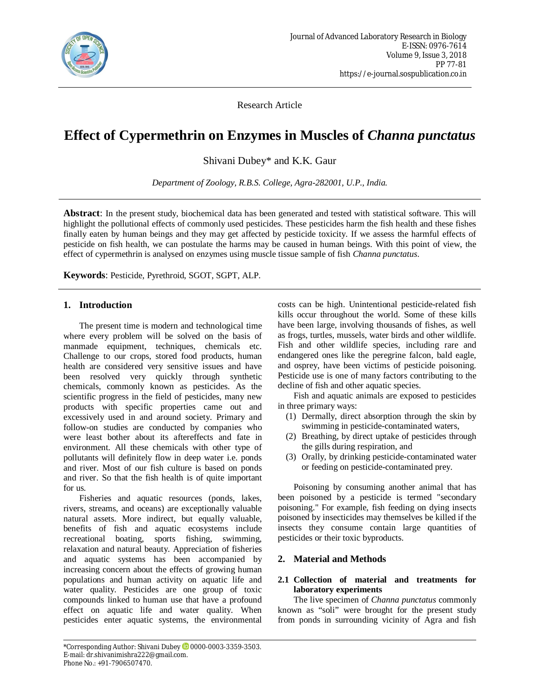

Research Article

# **Effect of Cypermethrin on Enzymes in Muscles of** *Channa punctatus*

Shivani Dubey\* and K.K. Gaur

*Department of Zoology, R.B.S. College, Agra-282001, U.P., India.*

**Abstract**: In the present study, biochemical data has been generated and tested with statistical software. This will highlight the pollutional effects of commonly used pesticides. These pesticides harm the fish health and these fishes finally eaten by human beings and they may get affected by pesticide toxicity. If we assess the harmful effects of pesticide on fish health, we can postulate the harms may be caused in human beings. With this point of view, the effect of cypermethrin is analysed on enzymes using muscle tissue sample of fish *Channa punctatus*.

**Keywords**: Pesticide, Pyrethroid, SGOT, SGPT, ALP.

# **1. Introduction**

The present time is modern and technological time where every problem will be solved on the basis of manmade equipment, techniques, chemicals etc. Challenge to our crops, stored food products, human health are considered very sensitive issues and have been resolved very quickly through synthetic chemicals, commonly known as pesticides. As the scientific progress in the field of pesticides, many new products with specific properties came out and excessively used in and around society. Primary and follow-on studies are conducted by companies who were least bother about its aftereffects and fate in environment. All these chemicals with other type of pollutants will definitely flow in deep water i.e. ponds and river. Most of our fish culture is based on ponds and river. So that the fish health is of quite important for us.

Fisheries and aquatic resources (ponds, lakes, rivers, streams, and oceans) are exceptionally valuable natural assets. More indirect, but equally valuable, benefits of fish and aquatic ecosystems include recreational boating, sports fishing, swimming, relaxation and natural beauty. Appreciation of fisheries and aquatic systems has been accompanied by increasing concern about the effects of growing human populations and human activity on aquatic life and water quality. Pesticides are one group of toxic compounds linked to human use that have a profound effect on aquatic life and water quality. When pesticides enter aquatic systems, the environmental costs can be high. Unintentional pesticide-related fish kills occur throughout the world. Some of these kills have been large, involving thousands of fishes, as well as frogs, turtles, mussels, water birds and other wildlife. Fish and other wildlife species, including rare and endangered ones like the peregrine falcon, bald eagle, and osprey, have been victims of pesticide poisoning. Pesticide use is one of many factors contributing to the decline of fish and other aquatic species.

Fish and aquatic animals are exposed to pesticides in three primary ways:

- (1) Dermally, direct absorption through the skin by swimming in pesticide-contaminated waters,
- (2) Breathing, by direct uptake of pesticides through the gills during respiration, and
- (3) Orally, by drinking pesticide-contaminated water or feeding on pesticide-contaminated prey.

Poisoning by consuming another animal that has been poisoned by a pesticide is termed "secondary poisoning." For example, fish feeding on dying insects poisoned by insecticides may themselves be killed if the insects they consume contain large quantities of pesticides or their toxic byproducts.

# **2. Material and Methods**

#### **2.1 Collection of material and treatments for laboratory experiments**

The live specimen of *Channa punctatus* commonly known as "soli" were brought for the present study from ponds in surrounding vicinity of Agra and fish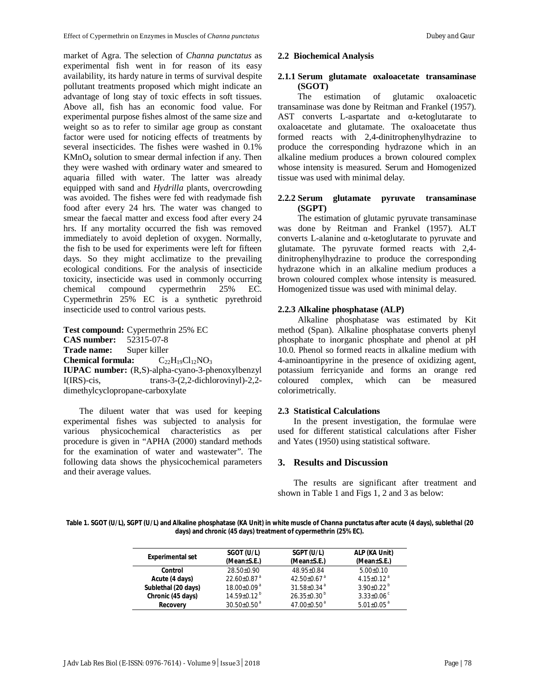market of Agra. The selection of *Channa punctatus* as experimental fish went in for reason of its easy availability, its hardy nature in terms of survival despite pollutant treatments proposed which might indicate an advantage of long stay of toxic effects in soft tissues. Above all, fish has an economic food value. For experimental purpose fishes almost of the same size and weight so as to refer to similar age group as constant factor were used for noticing effects of treatments by several insecticides. The fishes were washed in 0.1% KMnO<sup>4</sup> solution to smear dermal infection if any. Then they were washed with ordinary water and smeared to aquaria filled with water. The latter was already equipped with sand and *Hydrilla* plants, overcrowding was avoided. The fishes were fed with readymade fish food after every 24 hrs. The water was changed to smear the faecal matter and excess food after every 24 hrs. If any mortality occurred the fish was removed immediately to avoid depletion of oxygen. Normally, the fish to be used for experiments were left for fifteen days. So they might acclimatize to the prevailing ecological conditions. For the analysis of insecticide toxicity, insecticide was used in commonly occurring chemical compound cypermethrin 25% EC. Cypermethrin 25% EC is a synthetic pyrethroid insecticide used to control various pests.

**Test compound:** Cypermethrin 25% EC **CAS number:** 52315-07-8 **Trade name:** Super killer **Chemical formula:**  $C_{22}H_{19}Cl_{12}NO_3$ **IUPAC number:** (R,S)-alpha-cyano-3-phenoxylbenzyl I(IRS)-cis, trans-3-(2,2-dichlorovinyl)-2,2 dimethylcyclopropane-carboxylate

The diluent water that was used for keeping experimental fishes was subjected to analysis for various physicochemical characteristics as per procedure is given in "APHA (2000) standard methods for the examination of water and wastewater". The following data shows the physicochemical parameters and their average values.

#### **2.2 Biochemical Analysis**

# **2.1.1 Serum glutamate oxaloacetate transaminase (SGOT)**

estimation of glutamic oxaloacetic transaminase was done by Reitman and Frankel (1957). AST converts L-aspartate and α-ketoglutarate to oxaloacetate and glutamate. The oxaloacetate thus formed reacts with 2,4-dinitrophenylhydrazine to produce the corresponding hydrazone which in an alkaline medium produces a brown coloured complex whose intensity is measured. Serum and Homogenized tissue was used with minimal delay.

#### **2.2.2 Serum glutamate pyruvate transaminase (SGPT)**

The estimation of glutamic pyruvate transaminase was done by Reitman and Frankel (1957). ALT converts L-alanine and α-ketoglutarate to pyruvate and glutamate. The pyruvate formed reacts with 2,4 dinitrophenylhydrazine to produce the corresponding hydrazone which in an alkaline medium produces a brown coloured complex whose intensity is measured. Homogenized tissue was used with minimal delay.

#### **2.2.3 Alkaline phosphatase (ALP)**

Alkaline phosphatase was estimated by Kit method (Span). Alkaline phosphatase converts phenyl phosphate to inorganic phosphate and phenol at pH 10.0. Phenol so formed reacts in alkaline medium with 4-aminoantipyrine in the presence of oxidizing agent, potassium ferricyanide and forms an orange red coloured complex, which can be measured colorimetrically.

# **2.3 Statistical Calculations**

In the present investigation, the formulae were used for different statistical calculations after Fisher and Yates (1950) using statistical software.

# **3. Results and Discussion**

The results are significant after treatment and shown in Table 1 and Figs 1, 2 and 3 as below:

**Table 1. SGOT (U/L), SGPT (U/L) and Alkaline phosphatase (KA Unit) in white muscle of** *Channa punctatus* **after acute (4 days), sublethal (20 days) and chronic (45 days) treatment of cypermethrin (25% EC).**

| <b>Experimental set</b> | SGOT (U/L)<br>(Mean±S.E.)     | SGPT (U/L)<br>(Mean±S.E.)   | ALP (KA Unit)<br>(Mean±S.E.) |
|-------------------------|-------------------------------|-----------------------------|------------------------------|
| Control                 | $28.50+0.90$                  | $48.95 \pm 0.84$            | $5.00+0.10$                  |
| Acute (4 days)          | $22.60\pm0.87$ <sup>a</sup>   | $42.50\pm0.67$ <sup>a</sup> | 4.15+0.12 <sup>a</sup>       |
| Sublethal (20 days)     | $18.00 + 0.09$ <sup>a</sup>   | $31.58 + 0.34$ <sup>a</sup> | $3.90+0.22^{b}$              |
| Chronic (45 days)       | $14.59 + 0.12^{b}$            | $26.35 \pm 0.30^{\circ}$    | $3.33 \pm 0.06$ <sup>c</sup> |
| <b>Recovery</b>         | $30.50 \pm 0.50$ <sup>a</sup> | 47.00 $\pm$ 0.50 $^{a}$     | $5.01 \pm 0.05$ <sup>a</sup> |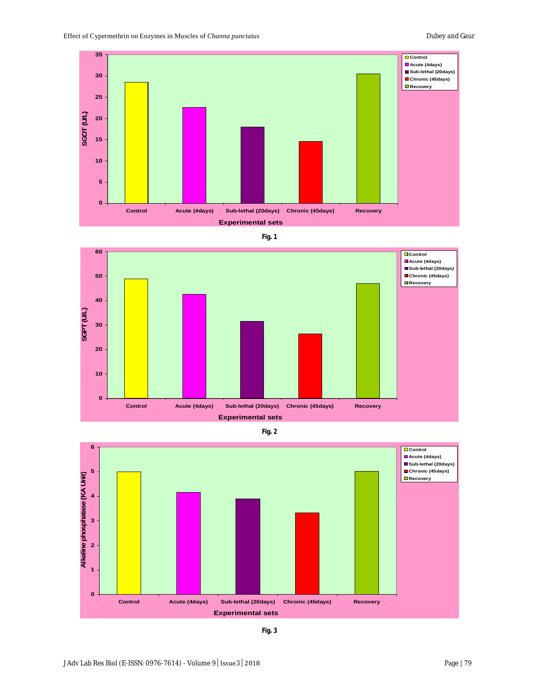





**Fig. 2**



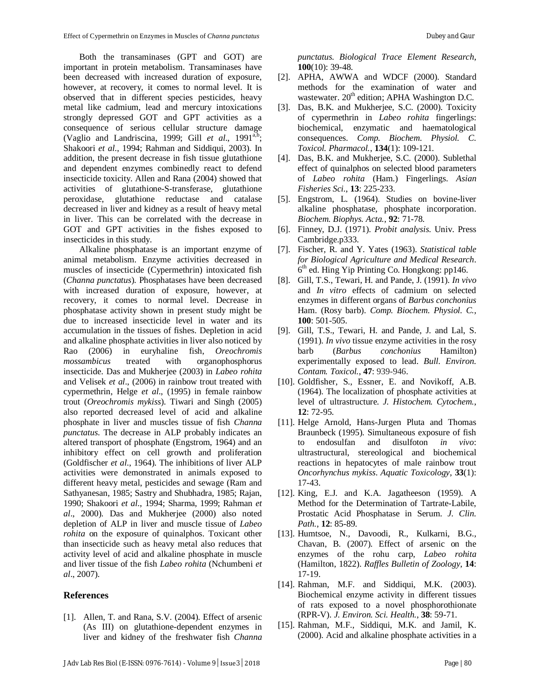Both the transaminases (GPT and GOT) are important in protein metabolism. Transaminases have been decreased with increased duration of exposure, however, at recovery, it comes to normal level. It is observed that in different species pesticides, heavy metal like cadmium, lead and mercury intoxications strongly depressed GOT and GPT activities as a consequence of serious cellular structure damage (Vaglio and Landriscina, 1999; Gill  $et$  al., 1991<sup>a,b</sup>; Shakoori *et al*., 1994; Rahman and Siddiqui, 2003). In addition, the present decrease in fish tissue glutathione and dependent enzymes combinedly react to defend insecticide toxicity. Allen and Rana (2004) showed that activities of glutathione-S-transferase, glutathione peroxidase, glutathione reductase and catalase decreased in liver and kidney as a result of heavy metal in liver. This can be correlated with the decrease in GOT and GPT activities in the fishes exposed to insecticides in this study.

Alkaline phosphatase is an important enzyme of animal metabolism. Enzyme activities decreased in muscles of insecticide (Cypermethrin) intoxicated fish (*Channa punctatus*). Phosphatases have been decreased with increased duration of exposure, however, at recovery, it comes to normal level. Decrease in phosphatase activity shown in present study might be due to increased insecticide level in water and its accumulation in the tissues of fishes. Depletion in acid and alkaline phosphate activities in liver also noticed by Rao (2006) in euryhaline fish, *Oreochromis mossambicus* treated with organophosphorus insecticide. Das and Mukherjee (2003) in *Labeo rohita* and Velisek *et al*., (2006) in rainbow trout treated with cypermethrin, Helge *et al*., (1995) in female rainbow trout (*Oreochromis mykiss*). Tiwari and Singh (2005) also reported decreased level of acid and alkaline phosphate in liver and muscles tissue of fish *Channa punctatus*. The decrease in ALP probably indicates an altered transport of phosphate (Engstrom, 1964) and an inhibitory effect on cell growth and proliferation (Goldfischer *et al*., 1964). The inhibitions of liver ALP activities were demonstrated in animals exposed to different heavy metal, pesticides and sewage (Ram and Sathyanesan, 1985; Sastry and Shubhadra, 1985; Rajan, 1990; Shakoori *et al*., 1994; Sharma, 1999; Rahman *et al*., 2000). Das and Mukherjee (2000) also noted depletion of ALP in liver and muscle tissue of *Labeo rohita* on the exposure of quinalphos. Toxicant other than insecticide such as heavy metal also reduces that activity level of acid and alkaline phosphate in muscle and liver tissue of the fish *Labeo rohita* (Nchumbeni *et al*., 2007).

#### **References**

[1]. Allen, T. and Rana, S.V. (2004). Effect of arsenic (As III) on glutathione-dependent enzymes in liver and kidney of the freshwater fish *Channa* *punctatus*. *Biological Trace Element Research*, **100**(10): 39-48.

- [2]. APHA, AWWA and WDCF (2000). Standard methods for the examination of water and wastewater. 20<sup>th</sup> edition; APHA Washington D.C.
- [3]. Das, B.K. and Mukherjee, S.C. (2000). Toxicity of cypermethrin in *Labeo rohita* fingerlings: biochemical, enzymatic and haematological consequences. *Comp. Biochem. Physiol. C. Toxicol. Pharmacol.*, **134**(1): 109-121.
- [4]. Das, B.K. and Mukherjee, S.C. (2000). Sublethal effect of quinalphos on selected blood parameters of *Labeo rohita* (Ham.) Fingerlings. *Asian Fisheries Sci.*, **13**: 225-233.
- [5]. Engstrom, L. (1964). Studies on bovine-liver alkaline phosphatase, phosphate incorporation. *Biochem. Biophys. Acta.*, **92**: 71-78.
- [6]. Finney, D.J. (1971). *Probit analysis.* Univ. Press Cambridge.p333.
- [7]. Fischer, R. and Y. Yates (1963). *Statistical table for Biological Agriculture and Medical Research*. 6 th ed. Hing Yip Printing Co. Hongkong: pp146.
- [8]. Gill, T.S., Tewari, H. and Pande, J. (1991). *In vivo* and *In vitro* effects of cadmium on selected enzymes in different organs of *Barbus conchonius* Ham. (Rosy barb). *Comp. Biochem. Physiol. C.*, **100**: 501-505.
- [9]. Gill, T.S., Tewari, H. and Pande, J. and Lal, S. (1991). *In vivo* tissue enzyme activities in the rosy barb (*Barbus conchonius* Hamilton) experimentally exposed to lead. *Bull. Environ. Contam. Toxicol.*, **47**: 939-946.
- [10]. Goldfisher, S., Essner, E. and Novikoff, A.B. (1964). The localization of phosphate activities at level of ultrastructure. *J. Histochem. Cytochem.*, **12**: 72-95.
- [11]. Helge Arnold, Hans-Jurgen Pluta and Thomas Braunbeck (1995). Simultaneous exposure of fish to endosulfan and disulfoton *in vivo*: ultrastructural, stereological and biochemical reactions in hepatocytes of male rainbow trout *Oncorhynchus mykiss*. *Aquatic Toxicology*, **33**(1): 17-43.
- [12]. King, E.J. and K.A. Jagatheeson (1959). A Method for the Determination of Tartrate-Labile, Prostatic Acid Phosphatase in Serum. *J. Clin. Path.*, **12**: 85-89.
- [13]. Humtsoe, N., Davoodi, R., Kulkarni, B.G., Chavan, B. (2007). Effect of arsenic on the enzymes of the rohu carp, *Labeo rohita* (Hamilton, 1822). *Raffles Bulletin of Zoology*, **14**: 17-19.
- [14]. Rahman, M.F. and Siddiqui, M.K. (2003). Biochemical enzyme activity in different tissues of rats exposed to a novel phosphorothionate (RPR-V). *J. Environ. Sci. Health.*, **38**: 59-71.
- [15]. Rahman, M.F., Siddiqui, M.K. and Jamil, K. (2000). Acid and alkaline phosphate activities in a